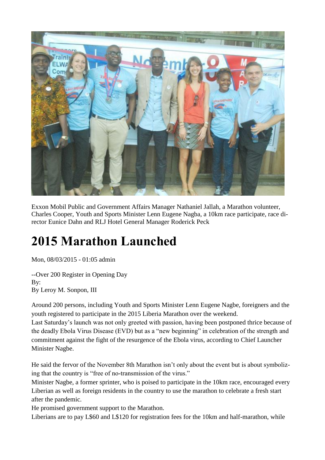

Exxon Mobil Public and Government Affairs Manager Nathaniel Jallah, a Marathon volunteer, Charles Cooper, Youth and Sports Minister Lenn Eugene Nagba, a 10km race participate, race director Eunice Dahn and RLJ Hotel General Manager Roderick Peck

## **2015 Marathon Launched**

Mon, 08/03/2015 - 01:05 admin

--Over 200 Register in Opening Day B<sub>v</sub>: By Leroy M. Sonpon, III

Around 200 persons, including Youth and Sports Minister Lenn Eugene Nagbe, foreigners and the youth registered to participate in the 2015 Liberia Marathon over the weekend.

Last Saturday's launch was not only greeted with passion, having been postponed thrice because of the deadly Ebola Virus Disease (EVD) but as a "new beginning" in celebration of the strength and commitment against the fight of the resurgence of the Ebola virus, according to Chief Launcher Minister Nagbe.

He said the fervor of the November 8th Marathon isn't only about the event but is about symbolizing that the country is "free of no-transmission of the virus."

Minister Nagbe, a former sprinter, who is poised to participate in the 10km race, encouraged every Liberian as well as foreign residents in the country to use the marathon to celebrate a fresh start after the pandemic.

He promised government support to the Marathon.

Liberians are to pay L\$60 and L\$120 for registration fees for the 10km and half-marathon, while